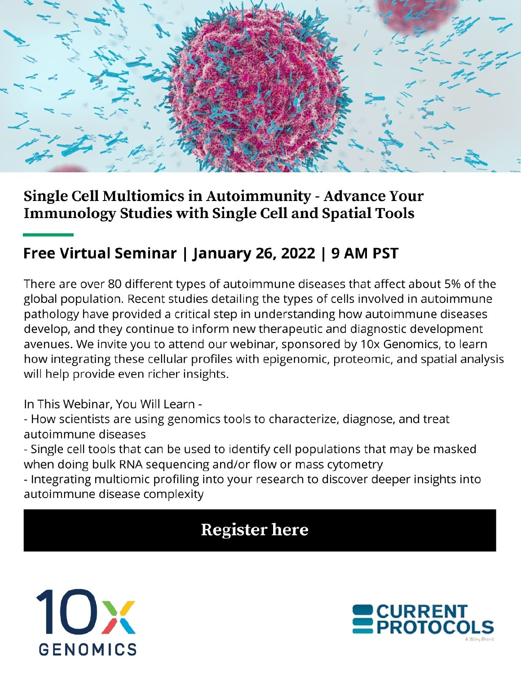

### Single Cell Multiomics in Autoimmunity - Advance Your **Immunology Studies with Single Cell and Spatial Tools**

## Free Virtual Seminar | January 26, 2022 | 9 AM PST

There are over 80 different types of autoimmune diseases that affect about 5% of the global population. Recent studies detailing the types of cells involved in autoimmune pathology have provided a critical step in understanding how autoimmune diseases develop, and they continue to inform new therapeutic and diagnostic development avenues. We invite you to attend our webinar, sponsored by 10x Genomics, to learn how integrating these cellular profiles with epigenomic, proteomic, and spatial analysis will help provide even richer insights.

In This Webinar, You Will Learn -

- How scientists are using genomics tools to characterize, diagnose, and treat autoimmune diseases

- Single cell tools that can be used to identify cell populations that may be masked when doing bulk RNA sequencing and/or flow or mass cytometry

- Integrating multiomic profiling into your research to discover deeper insights into autoimmune disease complexity

# **Register here**



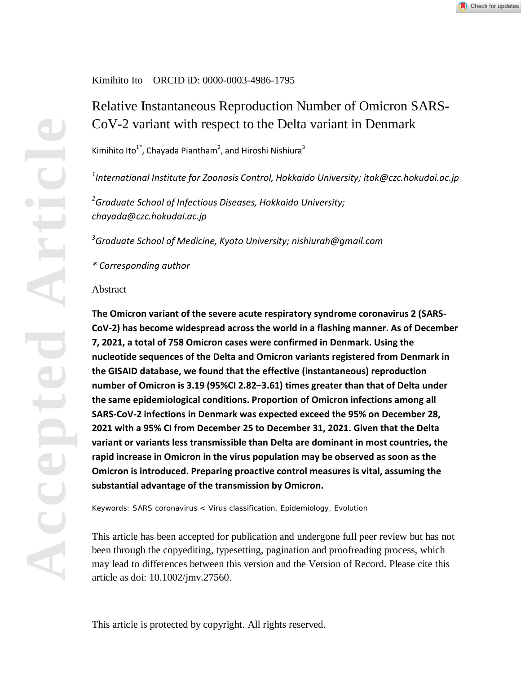#### Kimihito Ito ORCID iD: 0000-0003-4986-1795

### Relative Instantaneous Reproduction Number of Omicron SARS-CoV-2 variant with respect to the Delta variant in Denmark

Kimihito Ito $^{1^*}$ , Chayada Piantham<sup>2</sup>, and Hiroshi Nishiura $^3$ 

*1 International Institute for Zoonosis Control, Hokkaido University; itok@czc.hokudai.ac.jp*

*2 Graduate School of Infectious Diseases, Hokkaido University; chayada@czc.hokudai.ac.jp*

*3 Graduate School of Medicine, Kyoto University; nishiurah@gmail.com*

#### *\* Corresponding author*

#### Abstract

**The Omicron variant of the severe acute respiratory syndrome coronavirus 2 (SARS-CoV-2) has become widespread across the world in a flashing manner. As of December 7, 2021, a total of 758 Omicron cases were confirmed in Denmark. Using the nucleotide sequences of the Delta and Omicron variants registered from Denmark in the GISAID database, we found that the effective (instantaneous) reproduction number of Omicron is 3.19 (95%CI 2.82–3.61) times greater than that of Delta under the same epidemiological conditions. Proportion of Omicron infections among all SARS-CoV-2 infections in Denmark was expected exceed the 95% on December 28, 2021 with a 95% CI from December 25 to December 31, 2021. Given that the Delta variant or variants less transmissible than Delta are dominant in most countries, the rapid increase in Omicron in the virus population may be observed as soon as the Omicron is introduced. Preparing proactive control measures is vital, assuming the substantial advantage of the transmission by Omicron.**

Keywords: SARS coronavirus < Virus classification, Epidemiology, Evolution

This article has been accepted for publication and undergone full peer review but has not been through the copyediting, typesetting, pagination and proofreading process, which may lead to differences between this version and the Version of Record. Please cite this article as doi: 10.1002/jmv.27560.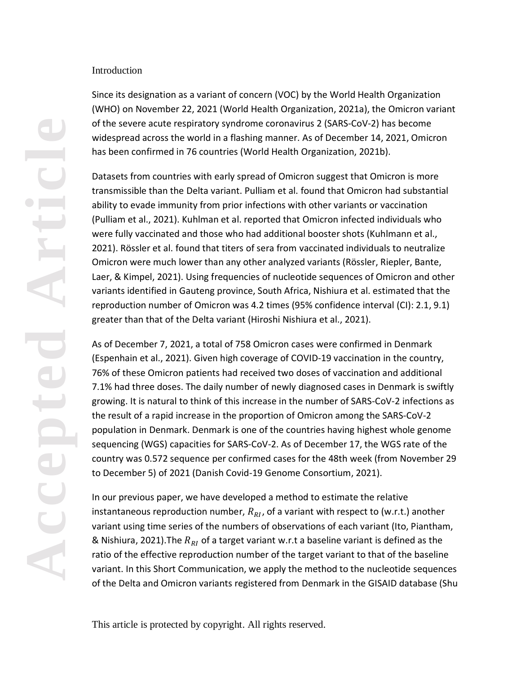#### Introduction

Since its designation as a variant of concern (VOC) by the World Health Organization (WHO) on November 22, 2021 (World Health Organization, 2021a), the Omicron variant of the severe acute respiratory syndrome coronavirus 2 (SARS-CoV-2) has become widespread across the world in a flashing manner. As of December 14, 2021, Omicron has been confirmed in 76 countries (World Health Organization, 2021b).

Datasets from countries with early spread of Omicron suggest that Omicron is more transmissible than the Delta variant. Pulliam et al. found that Omicron had substantial ability to evade immunity from prior infections with other variants or vaccination (Pulliam et al., 2021). Kuhlman et al. reported that Omicron infected individuals who were fully vaccinated and those who had additional booster shots (Kuhlmann et al., 2021). Rössler et al. found that titers of sera from vaccinated individuals to neutralize Omicron were much lower than any other analyzed variants (Rössler, Riepler, Bante, Laer, & Kimpel, 2021). Using frequencies of nucleotide sequences of Omicron and other variants identified in Gauteng province, South Africa, Nishiura et al. estimated that the reproduction number of Omicron was 4.2 times (95% confidence interval (CI): 2.1, 9.1) greater than that of the Delta variant (Hiroshi Nishiura et al., 2021).

As of December 7, 2021, a total of 758 Omicron cases were confirmed in Denmark (Espenhain et al., 2021). Given high coverage of COVID-19 vaccination in the country, 76% of these Omicron patients had received two doses of vaccination and additional 7.1% had three doses. The daily number of newly diagnosed cases in Denmark is swiftly growing. It is natural to think of this increase in the number of SARS-CoV-2 infections as the result of a rapid increase in the proportion of Omicron among the SARS-CoV-2 population in Denmark. Denmark is one of the countries having highest whole genome sequencing (WGS) capacities for SARS-CoV-2. As of December 17, the WGS rate of the country was 0.572 sequence per confirmed cases for the 48th week (from November 29 to December 5) of 2021 (Danish Covid-19 Genome Consortium, 2021).

In our previous paper, we have developed a method to estimate the relative instantaneous reproduction number,  $R_{RI}$ , of a variant with respect to (w.r.t.) another variant using time series of the numbers of observations of each variant (Ito, Piantham, & Nishiura, 2021). The  $R_{RI}$  of a target variant w.r.t a baseline variant is defined as the ratio of the effective reproduction number of the target variant to that of the baseline variant. In this Short Communication, we apply the method to the nucleotide sequences of the Delta and Omicron variants registered from Denmark in the GISAID database (Shu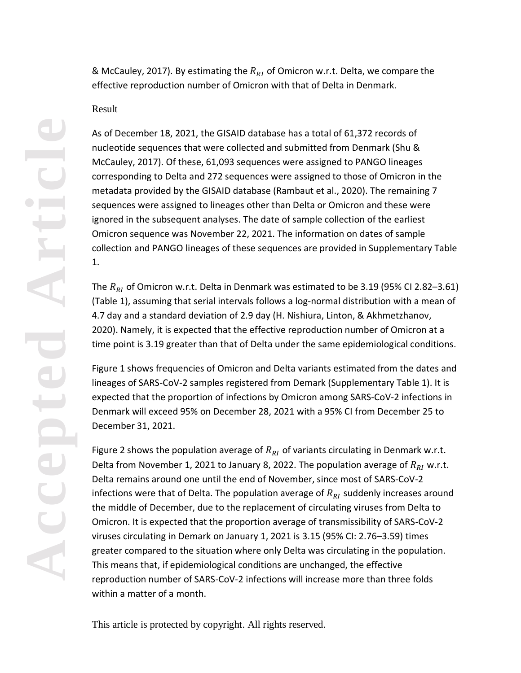& McCauley, 2017). By estimating the  $R_{RI}$  of Omicron w.r.t. Delta, we compare the effective reproduction number of Omicron with that of Delta in Denmark.

#### Result

As of December 18, 2021, the GISAID database has a total of 61,372 records of nucleotide sequences that were collected and submitted from Denmark (Shu & McCauley, 2017). Of these, 61,093 sequences were assigned to PANGO lineages corresponding to Delta and 272 sequences were assigned to those of Omicron in the metadata provided by the GISAID database (Rambaut et al., 2020). The remaining 7 sequences were assigned to lineages other than Delta or Omicron and these were ignored in the subsequent analyses. The date of sample collection of the earliest Omicron sequence was November 22, 2021. The information on dates of sample collection and PANGO lineages of these sequences are provided in Supplementary Table 1.

The  $R_{RI}$  of Omicron w.r.t. Delta in Denmark was estimated to be 3.19 (95% CI 2.82–3.61) (Table 1), assuming that serial intervals follows a log-normal distribution with a mean of 4.7 day and a standard deviation of 2.9 day (H. Nishiura, Linton, & Akhmetzhanov, 2020). Namely, it is expected that the effective reproduction number of Omicron at a time point is 3.19 greater than that of Delta under the same epidemiological conditions.

Figure 1 shows frequencies of Omicron and Delta variants estimated from the dates and lineages of SARS-CoV-2 samples registered from Demark (Supplementary Table 1). It is expected that the proportion of infections by Omicron among SARS-CoV-2 infections in Denmark will exceed 95% on December 28, 2021 with a 95% CI from December 25 to December 31, 2021.

Figure 2 shows the population average of  $R_{RI}$  of variants circulating in Denmark w.r.t. Delta from November 1, 2021 to January 8, 2022. The population average of  $R_{RI}$  w.r.t. Delta remains around one until the end of November, since most of SARS-CoV-2 infections were that of Delta. The population average of  $R_{RI}$  suddenly increases around the middle of December, due to the replacement of circulating viruses from Delta to Omicron. It is expected that the proportion average of transmissibility of SARS-CoV-2 viruses circulating in Demark on January 1, 2021 is 3.15 (95% CI: 2.76–3.59) times greater compared to the situation where only Delta was circulating in the population. This means that, if epidemiological conditions are unchanged, the effective reproduction number of SARS-CoV-2 infections will increase more than three folds within a matter of a month.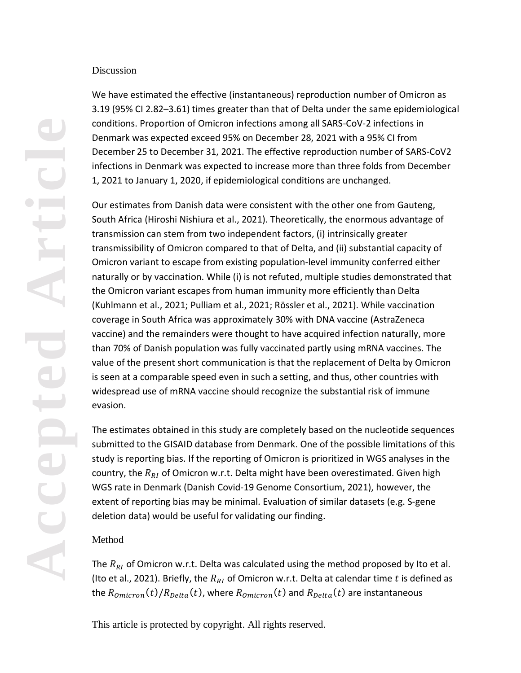#### Discussion

We have estimated the effective (instantaneous) reproduction number of Omicron as 3.19 (95% CI 2.82–3.61) times greater than that of Delta under the same epidemiological conditions. Proportion of Omicron infections among all SARS-CoV-2 infections in Denmark was expected exceed 95% on December 28, 2021 with a 95% CI from December 25 to December 31, 2021. The effective reproduction number of SARS-CoV2 infections in Denmark was expected to increase more than three folds from December 1, 2021 to January 1, 2020, if epidemiological conditions are unchanged.

Our estimates from Danish data were consistent with the other one from Gauteng, South Africa (Hiroshi Nishiura et al., 2021). Theoretically, the enormous advantage of transmission can stem from two independent factors, (i) intrinsically greater transmissibility of Omicron compared to that of Delta, and (ii) substantial capacity of Omicron variant to escape from existing population-level immunity conferred either naturally or by vaccination. While (i) is not refuted, multiple studies demonstrated that the Omicron variant escapes from human immunity more efficiently than Delta (Kuhlmann et al., 2021; Pulliam et al., 2021; Rössler et al., 2021). While vaccination coverage in South Africa was approximately 30% with DNA vaccine (AstraZeneca vaccine) and the remainders were thought to have acquired infection naturally, more than 70% of Danish population was fully vaccinated partly using mRNA vaccines. The value of the present short communication is that the replacement of Delta by Omicron is seen at a comparable speed even in such a setting, and thus, other countries with widespread use of mRNA vaccine should recognize the substantial risk of immune evasion.

The estimates obtained in this study are completely based on the nucleotide sequences submitted to the GISAID database from Denmark. One of the possible limitations of this study is reporting bias. If the reporting of Omicron is prioritized in WGS analyses in the country, the  $R_{RI}$  of Omicron w.r.t. Delta might have been overestimated. Given high WGS rate in Denmark (Danish Covid-19 Genome Consortium, 2021), however, the extent of reporting bias may be minimal. Evaluation of similar datasets (e.g. S-gene deletion data) would be useful for validating our finding.

#### Method

The  $R_{RI}$  of Omicron w.r.t. Delta was calculated using the method proposed by Ito et al. (Ito et al., 2021). Briefly, the  $R_{RI}$  of Omicron w.r.t. Delta at calendar time t is defined as the  $R_{omicron}(t)/R_{Delta}(t)$ , where  $R_{omicron}(t)$  and  $R_{Delta}(t)$  are instantaneous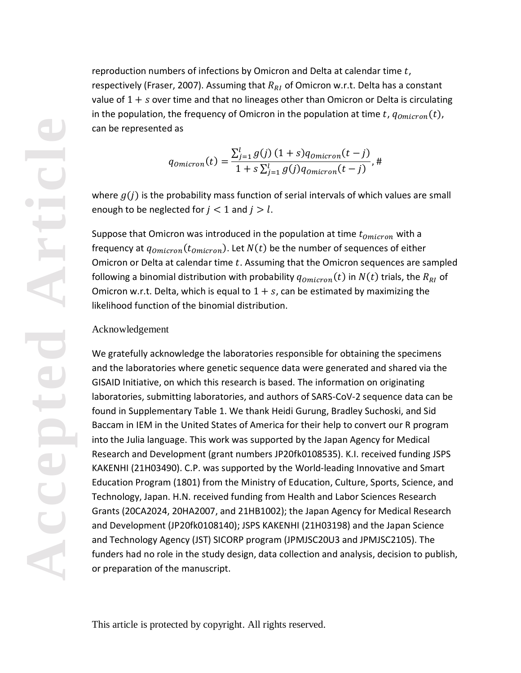reproduction numbers of infections by Omicron and Delta at calendar time  $t$ , respectively (Fraser, 2007). Assuming that  $R_{RI}$  of Omicron w.r.t. Delta has a constant value of  $1 + s$  over time and that no lineages other than Omicron or Delta is circulating in the population, the frequency of Omicron in the population at time t,  $q_{omicron}(t)$ , can be represented as

$$
q_{omicron}(t) = \frac{\sum_{j=1}^{l} g(j) (1+s) q_{omicron}(t-j)}{1+s \sum_{j=1}^{l} g(j) q_{omicron}(t-j)},
$$

where  $g(i)$  is the probability mass function of serial intervals of which values are small enough to be neglected for  $j < 1$  and  $j > l$ .

Suppose that Omicron was introduced in the population at time  $t_{Omicron}$  with a frequency at  $q_{omicron}(t_{omicron})$ . Let  $N(t)$  be the number of sequences of either Omicron or Delta at calendar time  $t$ . Assuming that the Omicron sequences are sampled following a binomial distribution with probability  $q_{omicron}(t)$  in  $N(t)$  trials, the  $R_{RI}$  of Omicron w.r.t. Delta, which is equal to  $1 + s$ , can be estimated by maximizing the likelihood function of the binomial distribution.

#### Acknowledgement

We gratefully acknowledge the laboratories responsible for obtaining the specimens and the laboratories where genetic sequence data were generated and shared via the GISAID Initiative, on which this research is based. The information on originating laboratories, submitting laboratories, and authors of SARS-CoV-2 sequence data can be found in Supplementary Table 1. We thank Heidi Gurung, Bradley Suchoski, and Sid Baccam in IEM in the United States of America for their help to convert our R program into the Julia language. This work was supported by the Japan Agency for Medical Research and Development (grant numbers JP20fk0108535). K.I. received funding JSPS KAKENHI (21H03490). C.P. was supported by the World-leading Innovative and Smart Education Program (1801) from the Ministry of Education, Culture, Sports, Science, and Technology, Japan. H.N. received funding from Health and Labor Sciences Research Grants (20CA2024, 20HA2007, and 21HB1002); the Japan Agency for Medical Research and Development (JP20fk0108140); JSPS KAKENHI (21H03198) and the Japan Science and Technology Agency (JST) SICORP program (JPMJSC20U3 and JPMJSC2105). The funders had no role in the study design, data collection and analysis, decision to publish, or preparation of the manuscript.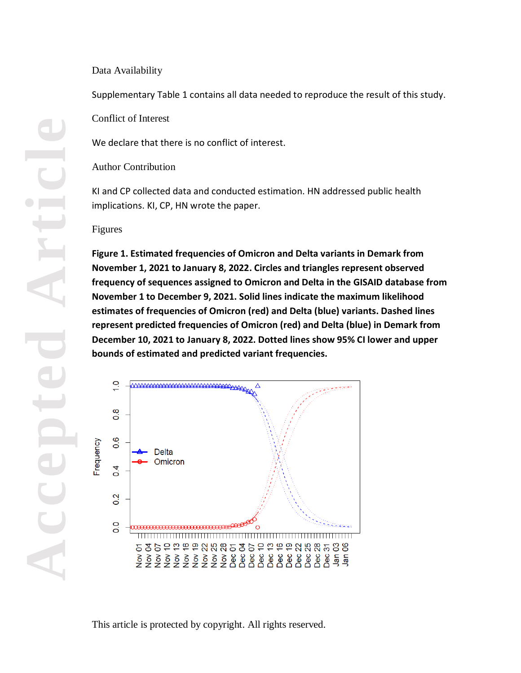#### Data Availability

Supplementary Table 1 contains all data needed to reproduce the result of this study.

Conflict of Interest

We declare that there is no conflict of interest.

Author Contribution

KI and CP collected data and conducted estimation. HN addressed public health implications. KI, CP, HN wrote the paper.

#### Figures

**Figure 1. Estimated frequencies of Omicron and Delta variants in Demark from November 1, 2021 to January 8, 2022. Circles and triangles represent observed frequency of sequences assigned to Omicron and Delta in the GISAID database from November 1 to December 9, 2021. Solid lines indicate the maximum likelihood estimates of frequencies of Omicron (red) and Delta (blue) variants. Dashed lines represent predicted frequencies of Omicron (red) and Delta (blue) in Demark from December 10, 2021 to January 8, 2022. Dotted lines show 95% CI lower and upper bounds of estimated and predicted variant frequencies.** 

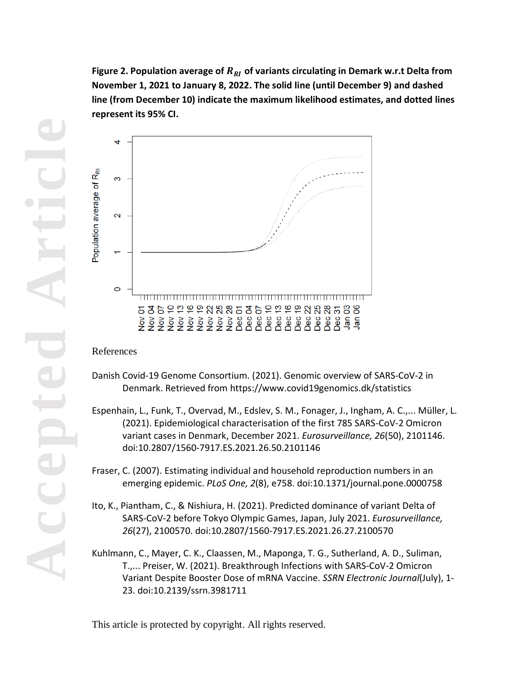Figure 2. Population average of  $R_{RI}$  of variants circulating in Demark w.r.t Delta from **November 1, 2021 to January 8, 2022. The solid line (until December 9) and dashed line (from December 10) indicate the maximum likelihood estimates, and dotted lines represent its 95% CI.**



#### References

- Danish Covid-19 Genome Consortium. (2021). Genomic overview of SARS-CoV-2 in Denmark. Retrieved from https://www.covid19genomics.dk/statistics
- Espenhain, L., Funk, T., Overvad, M., Edslev, S. M., Fonager, J., Ingham, A. C.,... Müller, L. (2021). Epidemiological characterisation of the first 785 SARS-CoV-2 Omicron variant cases in Denmark, December 2021. *Eurosurveillance, 26*(50), 2101146. doi:10.2807/1560-7917.ES.2021.26.50.2101146
- Fraser, C. (2007). Estimating individual and household reproduction numbers in an emerging epidemic. *PLoS One, 2*(8), e758. doi:10.1371/journal.pone.0000758
- Ito, K., Piantham, C., & Nishiura, H. (2021). Predicted dominance of variant Delta of SARS-CoV-2 before Tokyo Olympic Games, Japan, July 2021. *Eurosurveillance, 26*(27), 2100570. doi:10.2807/1560-7917.ES.2021.26.27.2100570
- Kuhlmann, C., Mayer, C. K., Claassen, M., Maponga, T. G., Sutherland, A. D., Suliman, T.,... Preiser, W. (2021). Breakthrough Infections with SARS-CoV-2 Omicron Variant Despite Booster Dose of mRNA Vaccine. *SSRN Electronic Journal*(July), 1- 23. doi:10.2139/ssrn.3981711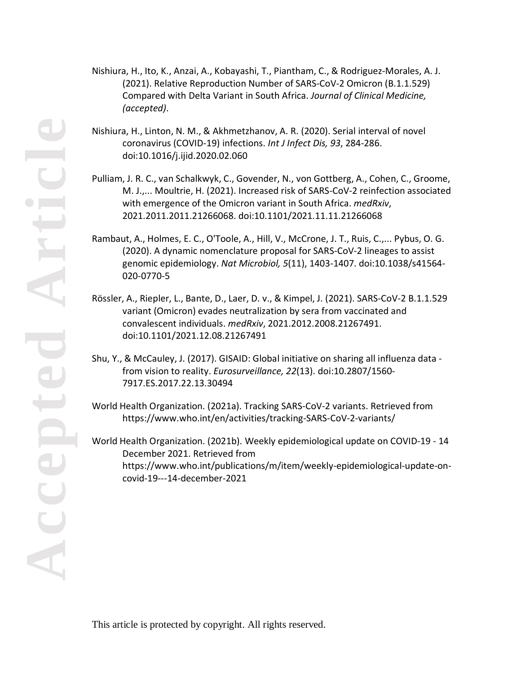- Nishiura, H., Ito, K., Anzai, A., Kobayashi, T., Piantham, C., & Rodriguez-Morales, A. J. (2021). Relative Reproduction Number of SARS-CoV-2 Omicron (B.1.1.529) Compared with Delta Variant in South Africa. *Journal of Clinical Medicine, (accepted)*.
- Nishiura, H., Linton, N. M., & Akhmetzhanov, A. R. (2020). Serial interval of novel coronavirus (COVID-19) infections. *Int J Infect Dis, 93*, 284-286. doi:10.1016/j.ijid.2020.02.060
- Pulliam, J. R. C., van Schalkwyk, C., Govender, N., von Gottberg, A., Cohen, C., Groome, M. J.,... Moultrie, H. (2021). Increased risk of SARS-CoV-2 reinfection associated with emergence of the Omicron variant in South Africa. *medRxiv*, 2021.2011.2011.21266068. doi:10.1101/2021.11.11.21266068
- Rambaut, A., Holmes, E. C., O'Toole, A., Hill, V., McCrone, J. T., Ruis, C.,... Pybus, O. G. (2020). A dynamic nomenclature proposal for SARS-CoV-2 lineages to assist genomic epidemiology. *Nat Microbiol, 5*(11), 1403-1407. doi:10.1038/s41564- 020-0770-5
- Rössler, A., Riepler, L., Bante, D., Laer, D. v., & Kimpel, J. (2021). SARS-CoV-2 B.1.1.529 variant (Omicron) evades neutralization by sera from vaccinated and convalescent individuals. *medRxiv*, 2021.2012.2008.21267491. doi:10.1101/2021.12.08.21267491
- Shu, Y., & McCauley, J. (2017). GISAID: Global initiative on sharing all influenza data from vision to reality. *Eurosurveillance, 22*(13). doi:10.2807/1560- 7917.ES.2017.22.13.30494
- World Health Organization. (2021a). Tracking SARS-CoV-2 variants. Retrieved from https://www.who.int/en/activities/tracking-SARS-CoV-2-variants/

World Health Organization. (2021b). Weekly epidemiological update on COVID-19 - 14 December 2021. Retrieved from https://www.who.int/publications/m/item/weekly-epidemiological-update-oncovid-19---14-december-2021